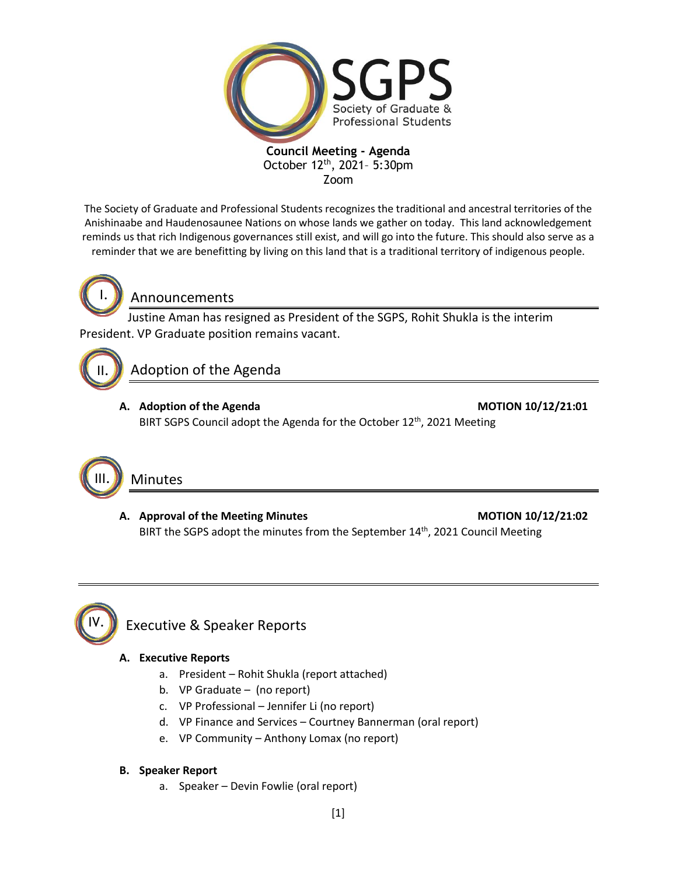

**Council Meeting - Agenda** October 12<sup>th</sup>, 2021- 5:30pm Zoom

The Society of Graduate and Professional Students recognizes the traditional and ancestral territories of the Anishinaabe and Haudenosaunee Nations on whose lands we gather on today. This land acknowledgement reminds us that rich Indigenous governances still exist, and will go into the future. This should also serve as a reminder that we are benefitting by living on this land that is a traditional territory of indigenous people.

I.

## Announcements

Justine Aman has resigned as President of the SGPS, Rohit Shukla is the interim President. VP Graduate position remains vacant.

# II.

Adoption of the Agenda

**A. Adoption of the Agenda MOTION 10/12/21:01** BIRT SGPS Council adopt the Agenda for the October 12<sup>th</sup>, 2021 Meeting



### A. Approval of the Meeting Minutes **MOTION 10/12/21:02** BIRT the SGPS adopt the minutes from the September 14<sup>th</sup>, 2021 Council Meeting



# Executive & Speaker Reports

#### **A. Executive Reports**

- a. President Rohit Shukla (report attached)
- b. VP Graduate (no report)
- c. VP Professional Jennifer Li (no report)
- d. VP Finance and Services Courtney Bannerman (oral report)
- e. VP Community Anthony Lomax (no report)

#### **B. Speaker Report**

a. Speaker – Devin Fowlie (oral report)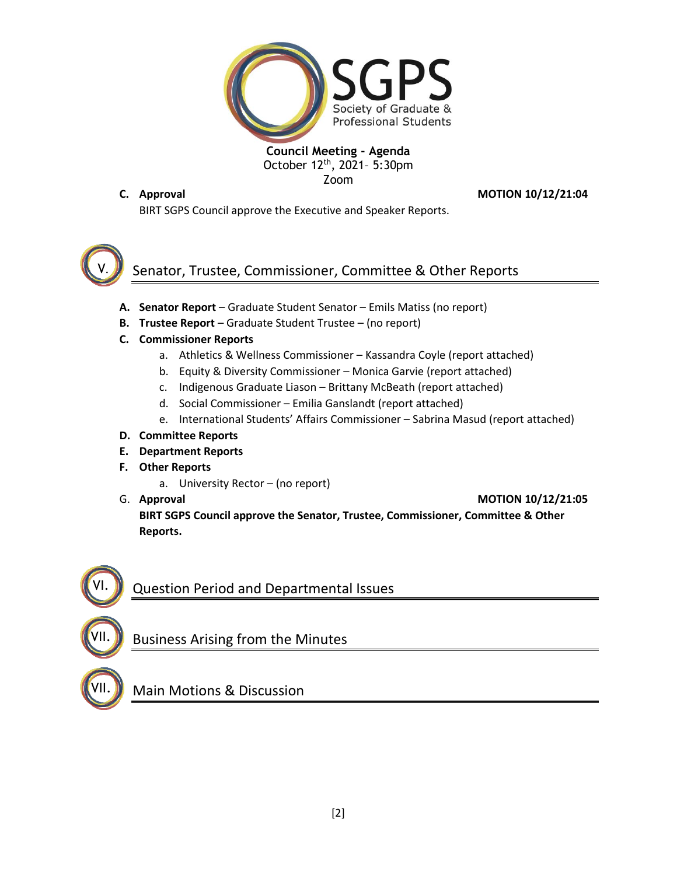

**Council Meeting - Agenda** October 12<sup>th</sup>, 2021- 5:30pm Zoom

**C. Approval MOTION 10/12/21:04**

BIRT SGPS Council approve the Executive and Speaker Reports.



# Senator, Trustee, Commissioner, Committee & Other Reports

- **A. Senator Report** Graduate Student Senator Emils Matiss (no report)
- **B. Trustee Report** Graduate Student Trustee (no report)
- **C. Commissioner Reports**
	- a. Athletics & Wellness Commissioner Kassandra Coyle (report attached)
	- b. Equity & Diversity Commissioner Monica Garvie (report attached)
	- c. Indigenous Graduate Liason Brittany McBeath (report attached)
	- d. Social Commissioner Emilia Ganslandt (report attached)
	- e. International Students' Affairs Commissioner Sabrina Masud (report attached)
- **D. Committee Reports**
- **E. Department Reports**
- **F. Other Reports**
	- a. University Rector (no report)
- 

G. **Approval MOTION 10/12/21:05**

**BIRT SGPS Council approve the Senator, Trustee, Commissioner, Committee & Other Reports.**



VII.

# Question Period and Departmental Issues

# Business Arising from the Minutes

VII.

Main Motions & Discussion